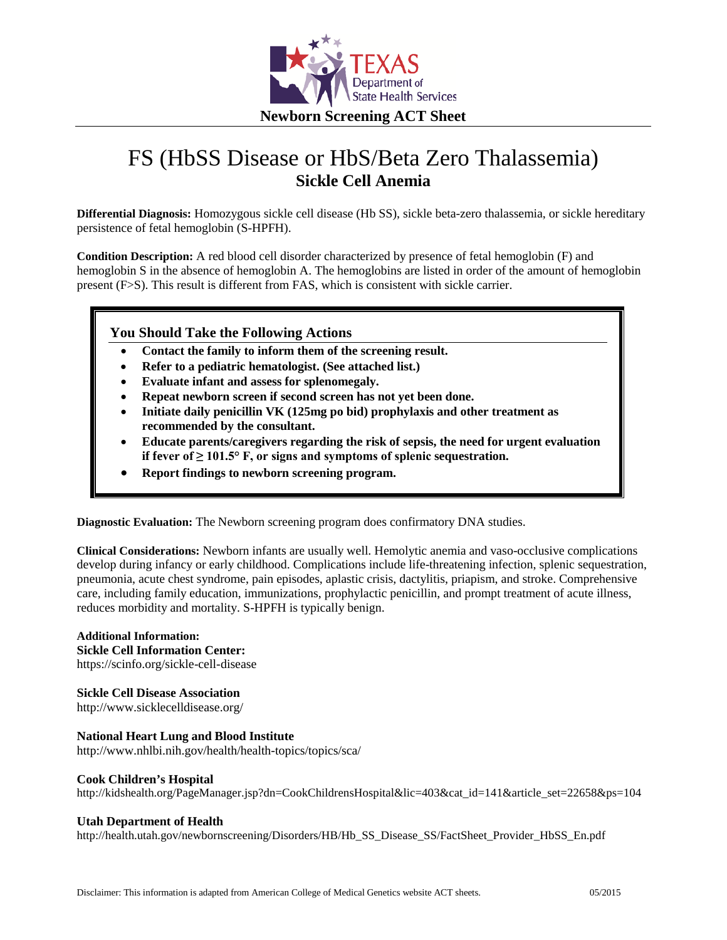

# FS (HbSS Disease or HbS/Beta Zero Thalassemia) **Sickle Cell Anemia**

**Differential Diagnosis:** Homozygous sickle cell disease (Hb SS), sickle beta-zero thalassemia, or sickle hereditary persistence of fetal hemoglobin (S-HPFH).

**Condition Description:** A red blood cell disorder characterized by presence of fetal hemoglobin (F) and hemoglobin S in the absence of hemoglobin A. The hemoglobins are listed in order of the amount of hemoglobin present (F>S). This result is different from FAS, which is consistent with sickle carrier.

## **You Should Take the Following Actions**

- **Contact the family to inform them of the screening result.**
- **Refer to a pediatric hematologist. (See attached list.)**
- **Evaluate infant and assess for splenomegaly.**
- **Repeat newborn screen if second screen has not yet been done.**
- **Initiate daily penicillin VK (125mg po bid) prophylaxis and other treatment as recommended by the consultant.**
- **Educate parents/caregivers regarding the risk of sepsis, the need for urgent evaluation if fever of ≥ 101.5° F, or signs and symptoms of splenic sequestration.**
- **Report findings to newborn screening program.**

**Diagnostic Evaluation:** The Newborn screening program does confirmatory DNA studies.

**Clinical Considerations:** Newborn infants are usually well. Hemolytic anemia and vaso-occlusive complications develop during infancy or early childhood. Complications include life-threatening infection, splenic sequestration, pneumonia, acute chest syndrome, pain episodes, aplastic crisis, dactylitis, priapism, and stroke. Comprehensive care, including family education, immunizations, prophylactic penicillin, and prompt treatment of acute illness, reduces morbidity and mortality. S-HPFH is typically benign.

**Additional Information: Sickle Cell Information Center:** https://scinfo.org/sickle-cell-disease

**Sickle Cell Disease Association**

http://www.sicklecelldisease.org/

# **National Heart Lung and Blood Institute**

http://www.nhlbi.nih.gov/health/health-topics/topics/sca/

#### **Cook Children's Hospital**

http://kidshealth.org/PageManager.jsp?dn=CookChildrensHospital&lic=403&cat\_id=141&article\_set=22658&ps=104

#### **Utah Department of Health**

http://health.utah.gov/newbornscreening/Disorders/HB/Hb\_SS\_Disease\_SS/FactSheet\_Provider\_HbSS\_En.pdf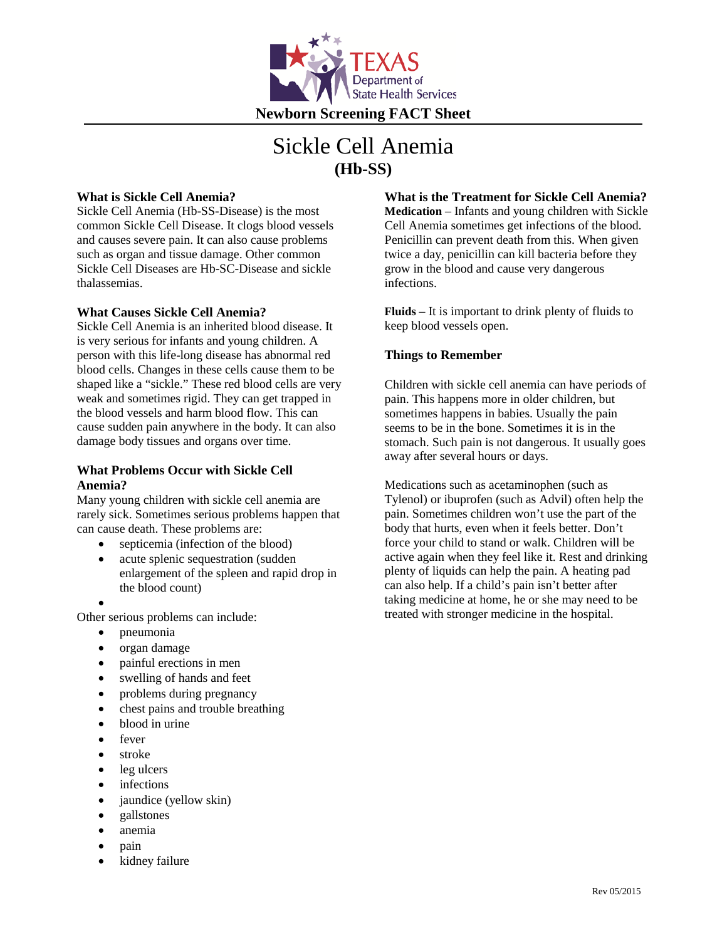

# Sickle Cell Anemia **(Hb-SS)**

### **What is Sickle Cell Anemia?**

Sickle Cell Anemia (Hb-SS-Disease) is the most common Sickle Cell Disease. It clogs blood vessels and causes severe pain. It can also cause problems such as organ and tissue damage. Other common Sickle Cell Diseases are Hb-SC-Disease and sickle thalassemias.

#### **What Causes Sickle Cell Anemia?**

Sickle Cell Anemia is an inherited blood disease. It is very serious for infants and young children. A person with this life-long disease has abnormal red blood cells. Changes in these cells cause them to be shaped like a "sickle." These red blood cells are very weak and sometimes rigid. They can get trapped in the blood vessels and harm blood flow. This can cause sudden pain anywhere in the body. It can also damage body tissues and organs over time.

#### **What Problems Occur with Sickle Cell Anemia?**

Many young children with sickle cell anemia are rarely sick. Sometimes serious problems happen that can cause death. These problems are:

- septicemia (infection of the blood)
- acute splenic sequestration (sudden enlargement of the spleen and rapid drop in the blood count)
- •

Other serious problems can include:

- pneumonia
- organ damage
- painful erections in men
- swelling of hands and feet
- problems during pregnancy
- chest pains and trouble breathing
- blood in urine
- fever
- stroke
- leg ulcers
- *infections*
- jaundice (yellow skin)
- gallstones
- anemia
- pain
- kidney failure

**What is the Treatment for Sickle Cell Anemia? Medication** – Infants and young children with Sickle Cell Anemia sometimes get infections of the blood. Penicillin can prevent death from this. When given twice a day, penicillin can kill bacteria before they grow in the blood and cause very dangerous infections.

**Fluids** – It is important to drink plenty of fluids to keep blood vessels open.

## **Things to Remember**

Children with sickle cell anemia can have periods of pain. This happens more in older children, but sometimes happens in babies. Usually the pain seems to be in the bone. Sometimes it is in the stomach. Such pain is not dangerous. It usually goes away after several hours or days.

Medications such as acetaminophen (such as Tylenol) or ibuprofen (such as Advil) often help the pain. Sometimes children won't use the part of the body that hurts, even when it feels better. Don't force your child to stand or walk. Children will be active again when they feel like it. Rest and drinking plenty of liquids can help the pain. A heating pad can also help. If a child's pain isn't better after taking medicine at home, he or she may need to be treated with stronger medicine in the hospital.